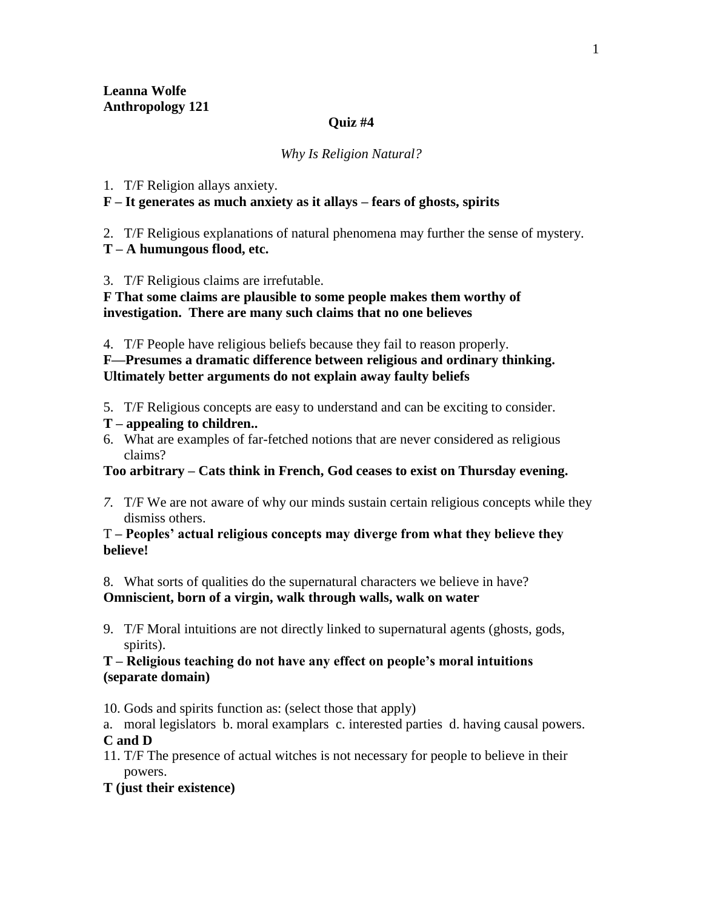#### **Quiz #4**

#### *Why Is Religion Natural?*

### 1. T/F Religion allays anxiety.

### **F – It generates as much anxiety as it allays – fears of ghosts, spirits**

2. T/F Religious explanations of natural phenomena may further the sense of mystery.

**T – A humungous flood, etc.** 

3. T/F Religious claims are irrefutable.

**F That some claims are plausible to some people makes them worthy of investigation. There are many such claims that no one believes**

4. T/F People have religious beliefs because they fail to reason properly.

**F—Presumes a dramatic difference between religious and ordinary thinking. Ultimately better arguments do not explain away faulty beliefs**

- 5. T/F Religious concepts are easy to understand and can be exciting to consider.
- **T – appealing to children..**
- 6. What are examples of far-fetched notions that are never considered as religious claims?

# **Too arbitrary – Cats think in French, God ceases to exist on Thursday evening.**

*7.* T/F We are not aware of why our minds sustain certain religious concepts while they dismiss others.

### T **– Peoples' actual religious concepts may diverge from what they believe they believe!**

8. What sorts of qualities do the supernatural characters we believe in have? **Omniscient, born of a virgin, walk through walls, walk on water** 

9. T/F Moral intuitions are not directly linked to supernatural agents (ghosts, gods, spirits).

# **T – Religious teaching do not have any effect on people's moral intuitions (separate domain)**

10. Gods and spirits function as: (select those that apply)

a. moral legislators b. moral examplars c. interested parties d. having causal powers. **C and D**

11. T/F The presence of actual witches is not necessary for people to believe in their powers.

# **T (just their existence)**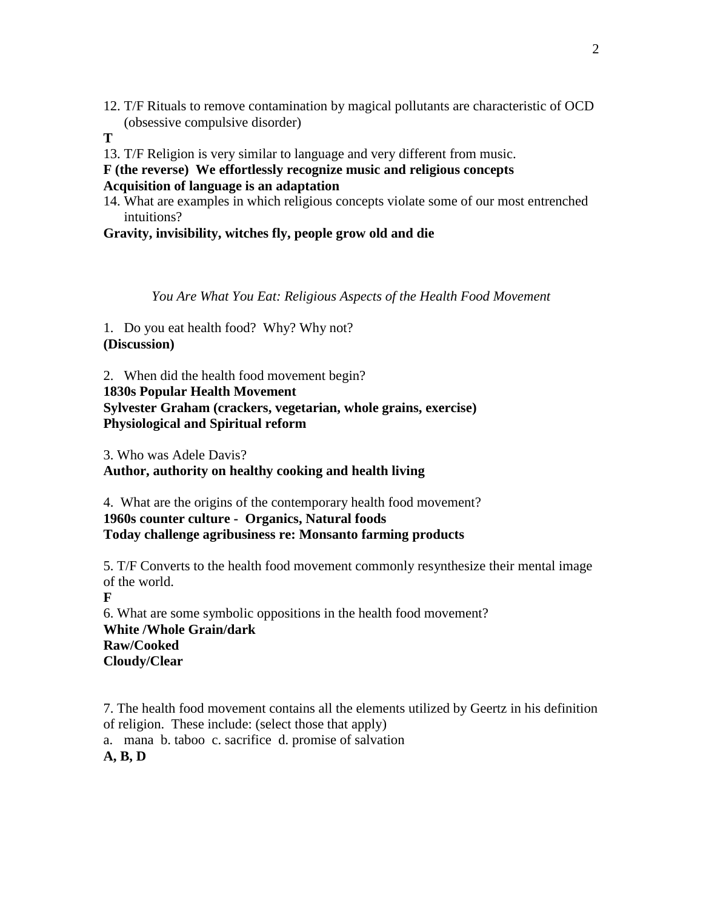- 12. T/F Rituals to remove contamination by magical pollutants are characteristic of OCD (obsessive compulsive disorder)
- **T**
- 13. T/F Religion is very similar to language and very different from music.
- **F (the reverse) We effortlessly recognize music and religious concepts**

**Acquisition of language is an adaptation** 

14. What are examples in which religious concepts violate some of our most entrenched intuitions?

**Gravity, invisibility, witches fly, people grow old and die**

*You Are What You Eat: Religious Aspects of the Health Food Movement*

1. Do you eat health food? Why? Why not? **(Discussion)**

2. When did the health food movement begin? **1830s Popular Health Movement Sylvester Graham (crackers, vegetarian, whole grains, exercise) Physiological and Spiritual reform**

3. Who was Adele Davis? **Author, authority on healthy cooking and health living**

4. What are the origins of the contemporary health food movement? **1960s counter culture - Organics, Natural foods Today challenge agribusiness re: Monsanto farming products**

5. T/F Converts to the health food movement commonly resynthesize their mental image of the world.

**F**

6. What are some symbolic oppositions in the health food movement? **White /Whole Grain/dark Raw/Cooked Cloudy/Clear**

7. The health food movement contains all the elements utilized by Geertz in his definition of religion. These include: (select those that apply)

a. mana b. taboo c. sacrifice d. promise of salvation **A, B, D**